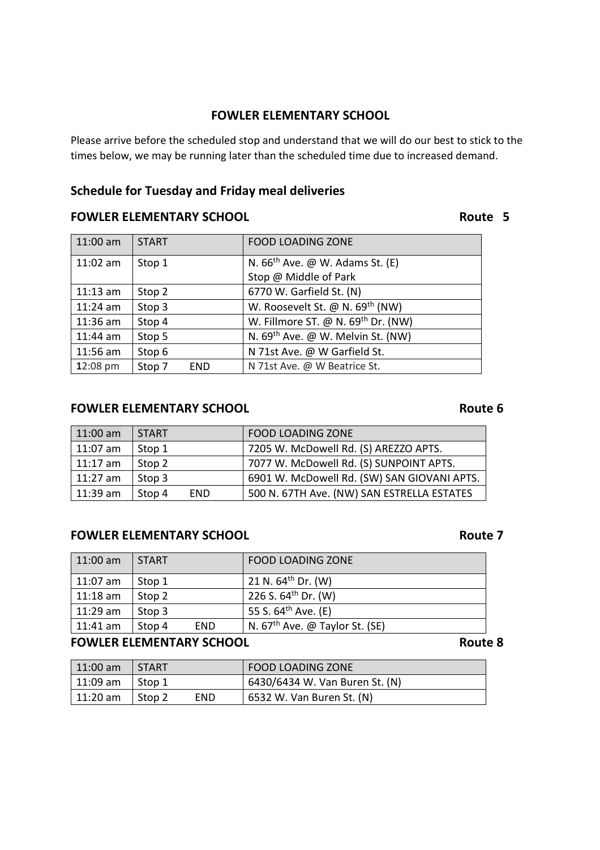### **FOWLER ELEMENTARY SCHOOL**

Please arrive before the scheduled stop and understand that we will do our best to stick to the times below, we may be running later than the scheduled time due to increased demand.

## **Schedule for Tuesday and Friday meal deliveries**

## **FOWLER ELEMENTARY SCHOOL CONSUMING THE ROUTE 5**

| $11:00$ am | <b>START</b> |            | <b>FOOD LOADING ZONE</b>                      |
|------------|--------------|------------|-----------------------------------------------|
| $11:02$ am | Stop 1       |            | N. $66th$ Ave. @ W. Adams St. (E)             |
|            |              |            | Stop @ Middle of Park                         |
| $11:13$ am | Stop 2       |            | 6770 W. Garfield St. (N)                      |
| $11:24$ am | Stop 3       |            | W. Roosevelt St. @ N. 69 <sup>th</sup> (NW)   |
| $11:36$ am | Stop 4       |            | W. Fillmore ST. @ N. 69th Dr. (NW)            |
| $11:44$ am | Stop 5       |            | N. 69 <sup>th</sup> Ave. @ W. Melvin St. (NW) |
| $11:56$ am | Stop 6       |            | N 71st Ave. @ W Garfield St.                  |
| 12:08 pm   | Stop 7       | <b>END</b> | N 71st Ave. @ W Beatrice St.                  |

### **FOWLER ELEMENTARY SCHOOL EXAMPLE 2018 12 AND ROUTE 6**

| $11:00$ am | <b>START</b>         | <b>FOOD LOADING ZONE</b>                    |
|------------|----------------------|---------------------------------------------|
| $11:07$ am | Stop 1               | 7205 W. McDowell Rd. (S) AREZZO APTS.       |
| $11:17$ am | Stop 2               | 7077 W. McDowell Rd. (S) SUNPOINT APTS.     |
| $11:27$ am | Stop 3               | 6901 W. McDowell Rd. (SW) SAN GIOVANI APTS. |
| $11:39$ am | <b>END</b><br>Stop 4 | 500 N. 67TH Ave. (NW) SAN ESTRELLA ESTATES  |

### **FOWLER ELEMENTARY SCHOOL CONSUMING THE ROUTE 7**

| $11:00$ am     | <b>START</b> |            | FOOD LOADING ZONE                |
|----------------|--------------|------------|----------------------------------|
| $11:07$ am     | Stop 1       |            | 21 N. $64^{th}$ Dr. (W)          |
| $11:18$ am     | Stop 2       |            | 226 S. $64^{\text{th}}$ Dr. (W)  |
| $11:29$ am     | Stop 3       |            | 55 S. 64 <sup>th</sup> Ave. (E)  |
| $\pm 11:41$ am | Stop 4       | <b>END</b> | N. $67th$ Ave. @ Taylor St. (SE) |
|                |              |            |                                  |

### **FOWLER ELEMENTARY SCHOOL EXAMPLE 2018 12 AND ROUTE 8**

| $\mid$ 11:00 am | <b>START</b> |     | <b>FOOD LOADING ZONE</b>       |
|-----------------|--------------|-----|--------------------------------|
| 11:09 am        | ∣ Stop 1     |     | 6430/6434 W. Van Buren St. (N) |
| l 11:20 am      | Stop 2       | END | 6532 W. Van Buren St. (N)      |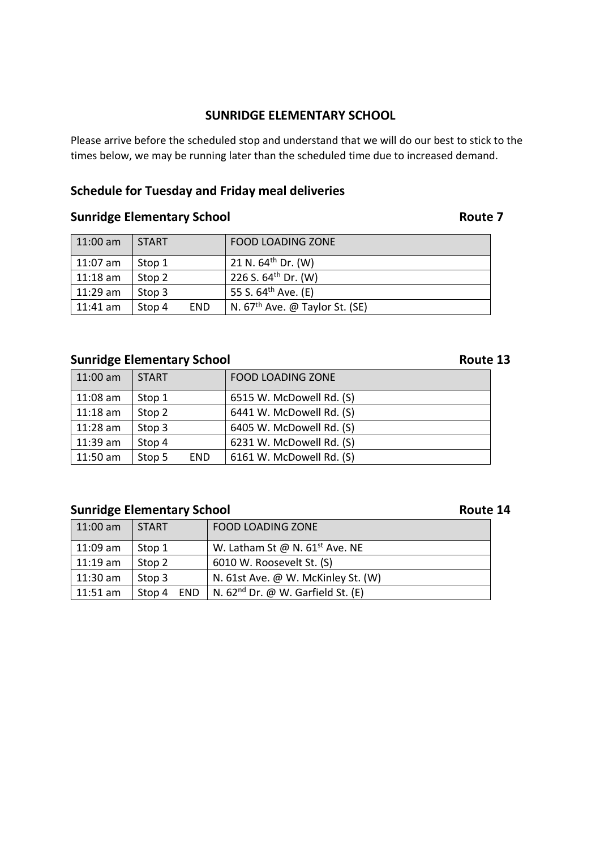### **SUNRIDGE ELEMENTARY SCHOOL**

Please arrive before the scheduled stop and understand that we will do our best to stick to the times below, we may be running later than the scheduled time due to increased demand.

## **Schedule for Tuesday and Friday meal deliveries**

## **Sunridge Elementary School Route 7 Route 7**

| $11:00$ am | <b>START</b> |            | <b>FOOD LOADING ZONE</b>         |
|------------|--------------|------------|----------------------------------|
| $11:07$ am | Stop 1       |            | 21 N. 64 <sup>th</sup> Dr. (W)   |
| $11:18$ am | Stop 2       |            | 226 S. 64 <sup>th</sup> Dr. (W)  |
| $11:29$ am | Stop 3       |            | 55 S. 64 <sup>th</sup> Ave. (E)  |
| $11:41$ am | Stop 4       | <b>END</b> | N. $67th$ Ave. @ Taylor St. (SE) |

## **Sunridge Elementary School Route 13**

| $11:00$ am | <b>START</b> |            | <b>FOOD LOADING ZONE</b> |
|------------|--------------|------------|--------------------------|
| $11:08$ am | Stop 1       |            | 6515 W. McDowell Rd. (S) |
| $11:18$ am | Stop 2       |            | 6441 W. McDowell Rd. (S) |
| $11:28$ am | Stop 3       |            | 6405 W. McDowell Rd. (S) |
| $11:39$ am | Stop 4       |            | 6231 W. McDowell Rd. (S) |
| 11:50 am   | Stop 5       | <b>END</b> | 6161 W. McDowell Rd. (S) |

# **Sunridge Elementary School Route 14** Route 14

| $11:00$ am | I START. | <b>FOOD LOADING ZONE</b>                            |
|------------|----------|-----------------------------------------------------|
| 11:09 am   | Stop 1   | W. Latham St @ N. $61^{st}$ Ave. NE                 |
| $11:19$ am | Stop 2   | 6010 W. Roosevelt St. (S)                           |
| $11:30$ am | Stop 3   | N. 61st Ave. @ W. McKinley St. (W)                  |
| $11:51$ am | Stop 4   | END   N. 62 <sup>nd</sup> Dr. @ W. Garfield St. (E) |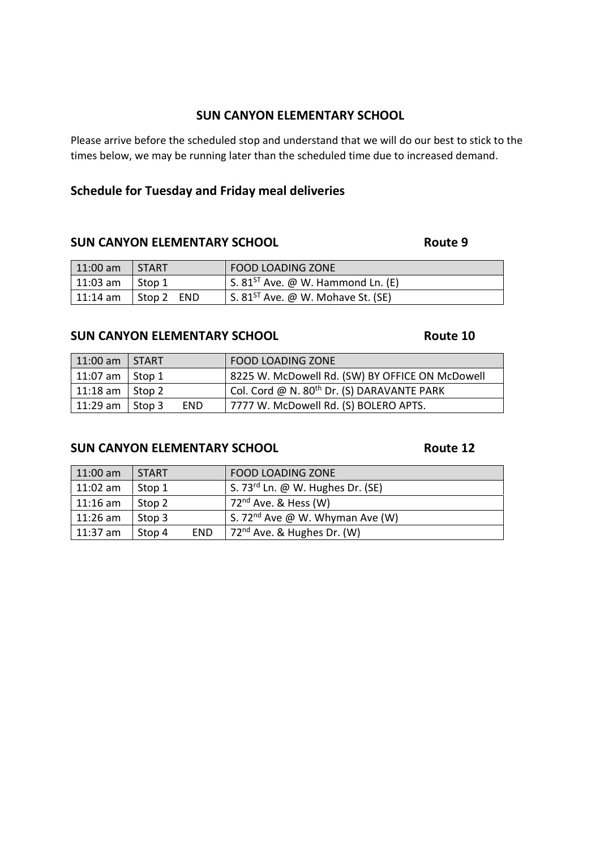### **SUN CANYON ELEMENTARY SCHOOL**

Please arrive before the scheduled stop and understand that we will do our best to stick to the times below, we may be running later than the scheduled time due to increased demand.

## **Schedule for Tuesday and Friday meal deliveries**

### **SUN CANYON ELEMENTARY SCHOOL CONSUMING ROUTE 9**

| $\vert$ 11:00 am  | START                      | <b>FOOD LOADING ZONE</b>                                    |
|-------------------|----------------------------|-------------------------------------------------------------|
| 11:03 am   Stop 1 |                            | $\pm$ S. 81 <sup>ST</sup> Ave. @ W. Hammond Ln. (E)         |
|                   | 11:14 am   Stop 2 $\,$ END | $\frac{1}{2}$ S. 81 <sup>ST</sup> Ave. @ W. Mohave St. (SE) |

### **SUN CANYON ELEMENTARY SCHOOL Route 10**

| $11:00$ am              | I START |            | <b>FOOD LOADING ZONE</b>                               |
|-------------------------|---------|------------|--------------------------------------------------------|
| 11:07 am                | Stop 1  |            | 8225 W. McDowell Rd. (SW) BY OFFICE ON McDowell        |
| 11:18 am $\vert$ Stop 2 |         |            | Col. Cord @ N. 80 <sup>th</sup> Dr. (S) DARAVANTE PARK |
| 11:29 am                | Stop 3  | <b>END</b> | 7777 W. McDowell Rd. (S) BOLERO APTS.                  |

## **SUN CANYON ELEMENTARY SCHOOL ROUTE 12**

| $11:00$ am       | <b>START</b>         | <b>FOOD LOADING ZONE</b>                     |
|------------------|----------------------|----------------------------------------------|
| $11:02$ am       | Stop 1               | S. 73 <sup>rd</sup> Ln. @ W. Hughes Dr. (SE) |
| $ 11:16$ am      | Stop 2               | 72 <sup>nd</sup> Ave. & Hess (W)             |
| $ 11:26$ am      | Stop 3               | S. 72 <sup>nd</sup> Ave @ W. Whyman Ave (W)  |
| $\vert$ 11:37 am | <b>END</b><br>Stop 4 | 72 <sup>nd</sup> Ave. & Hughes Dr. (W)       |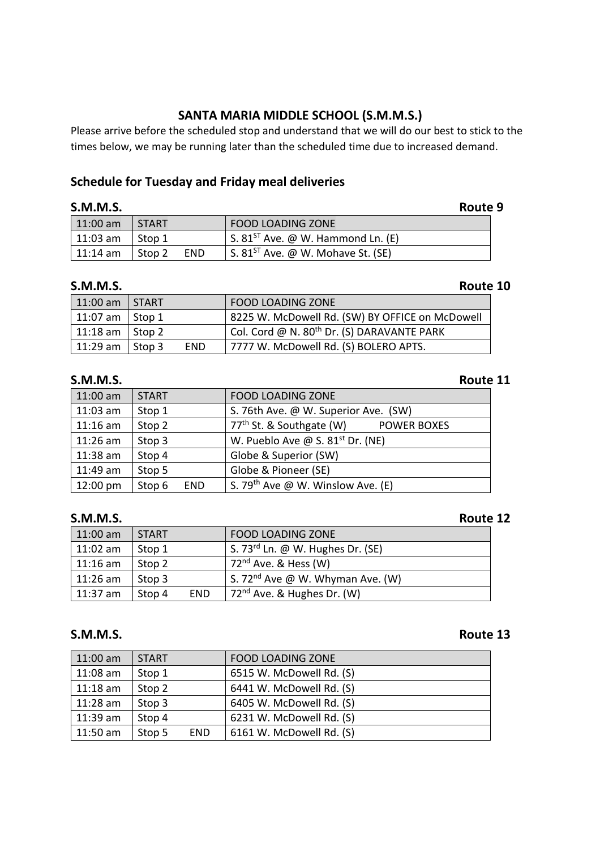## **SANTA MARIA MIDDLE SCHOOL (S.M.M.S.)**

Please arrive before the scheduled stop and understand that we will do our best to stick to the times below, we may be running later than the scheduled time due to increased demand.

### **Schedule for Tuesday and Friday meal deliveries**

| <b>S.M.M.S.</b> |              |            |                                                       | Route 9 |
|-----------------|--------------|------------|-------------------------------------------------------|---------|
| $11:00$ am      | <b>START</b> |            | <b>FOOD LOADING ZONE</b>                              |         |
| $11:03$ am      | Stop 1       |            | $\pm$ S. 81 <sup>ST</sup> Ave. @ W. Hammond Ln. (E)   |         |
| $11:14$ am      | Stop 2       | <b>END</b> | $\vert$ S. 81 <sup>ST</sup> Ave. @ W. Mohave St. (SE) |         |

| <b>S.M.M.S.</b> |              |            | Route 10                                               |  |
|-----------------|--------------|------------|--------------------------------------------------------|--|
| $11:00$ am      | <b>START</b> |            | <b>FOOD LOADING ZONE</b>                               |  |
| 11:07 am        | Stop 1       |            | 8225 W. McDowell Rd. (SW) BY OFFICE on McDowell        |  |
| $11:18$ am      | Stop 2       |            | Col. Cord @ N. 80 <sup>th</sup> Dr. (S) DARAVANTE PARK |  |
| 11:29 am        | Stop 3       | <b>END</b> | 7777 W. McDowell Rd. (S) BOLERO APTS.                  |  |

### **S.M.M.S. Route 11**

## 11:00 am START FOOD LOADING ZONE 11:03 am Stop 1  $\vert$  S. 76th Ave. @ W. Superior Ave. (SW) 11:16 am Stop 2  $77<sup>th</sup>$  St. & Southgate (W) POWER BOXES 11:26 am Stop 3 W. Pueblo Ave @ S. 81<sup>st</sup> Dr. (NE) 11:38 am  $\left| \right|$  Stop 4  $\left| \right|$  Globe & Superior (SW) 11:49 am Stop 5  $\vert$  Globe & Pioneer (SE) 12:00 pm Stop 6 END S. 79<sup>th</sup> Ave @ W. Winslow Ave. (E)

## **S.M.M.S.** Route 12

| $11:00$ am       | <b>START</b> |            | <b>FOOD LOADING ZONE</b>                     |
|------------------|--------------|------------|----------------------------------------------|
| $\vert$ 11:02 am | Stop 1       |            | S. 73 <sup>rd</sup> Ln. @ W. Hughes Dr. (SE) |
| $11:16$ am       | Stop 2       |            | $72nd$ Ave. & Hess (W)                       |
| $11:26$ am       | Stop 3       |            | S. 72 <sup>nd</sup> Ave @ W. Whyman Ave. (W) |
| $\vert$ 11:37 am | Stop 4       | <b>END</b> | 72 <sup>nd</sup> Ave. & Hughes Dr. (W)       |

## **S.M.M.S.** Route 13

| $11:00$ am | <b>START</b> |            | <b>FOOD LOADING ZONE</b> |
|------------|--------------|------------|--------------------------|
| $11:08$ am | Stop 1       |            | 6515 W. McDowell Rd. (S) |
| $11:18$ am | Stop 2       |            | 6441 W. McDowell Rd. (S) |
| $11:28$ am | Stop 3       |            | 6405 W. McDowell Rd. (S) |
| $11:39$ am | Stop 4       |            | 6231 W. McDowell Rd. (S) |
| $11:50$ am | Stop 5       | <b>END</b> | 6161 W. McDowell Rd. (S) |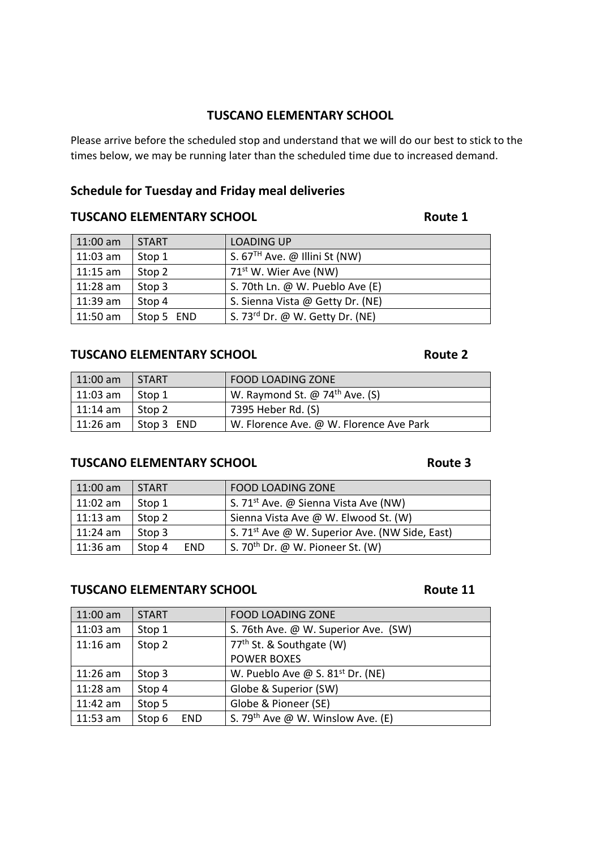### **TUSCANO ELEMENTARY SCHOOL**

Please arrive before the scheduled stop and understand that we will do our best to stick to the times below, we may be running later than the scheduled time due to increased demand.

## **Schedule for Tuesday and Friday meal deliveries**

## **TUSCANO ELEMENTARY SCHOOL CONSUMING TO A ROUTE 1**

| $11:00$ am | <b>START</b> | <b>LOADING UP</b>                 |
|------------|--------------|-----------------------------------|
| $11:03$ am | Stop 1       | S. $67TH$ Ave. @ Illini St (NW)   |
| $11:15$ am | Stop 2       | 71 <sup>st</sup> W. Wier Ave (NW) |
| $11:28$ am | Stop 3       | S. 70th Ln. @ W. Pueblo Ave (E)   |
| $11:39$ am | Stop 4       | S. Sienna Vista @ Getty Dr. (NE)  |
| $11:50$ am | Stop 5 END   | S. 73rd Dr. @ W. Getty Dr. (NE)   |

### **TUSCANO ELEMENTARY SCHOOL CONSUMING A ROUTE 2**

# 11:00 am START | FOOD LOADING ZONE 11:03 am Stop 1 W. Raymond St.  $\omega$  74<sup>th</sup> Ave. (S) 11:14 am | Stop 2  $\vert$  7395 Heber Rd. (S) 11:26 am Stop 3 END W. Florence Ave. @ W. Florence Ave Park

### **TUSCANO ELEMENTARY SCHOOL CONSUMING TO A ROUTE 3**

| $11:00$ am | <b>START</b>         | <b>FOOD LOADING ZONE</b>                                   |
|------------|----------------------|------------------------------------------------------------|
| $11:02$ am | Stop 1               | S. 71 <sup>st</sup> Ave. @ Sienna Vista Ave (NW)           |
| $11:13$ am | Stop 2               | Sienna Vista Ave @ W. Elwood St. (W)                       |
| $11:24$ am | Stop 3               | S. 71 <sup>st</sup> Ave @ W. Superior Ave. (NW Side, East) |
| $11:36$ am | Stop 4<br><b>END</b> | S. 70 <sup>th</sup> Dr. @ W. Pioneer St. (W)               |

### **TUSCANO ELEMENTARY SCHOOL CONSUMING TO A ROUTE 11**

| $11:00$ am | <b>START</b>         | <b>FOOD LOADING ZONE</b>                      |
|------------|----------------------|-----------------------------------------------|
| $11:03$ am | Stop 1               | S. 76th Ave. @ W. Superior Ave. (SW)          |
| $11:16$ am | Stop 2               | 77 <sup>th</sup> St. & Southgate (W)          |
|            |                      | <b>POWER BOXES</b>                            |
| $11:26$ am | Stop 3               | W. Pueblo Ave @ S. $81^{st}$ Dr. (NE)         |
| $11:28$ am | Stop 4               | Globe & Superior (SW)                         |
| $11:42$ am | Stop 5               | Globe & Pioneer (SE)                          |
| $11:53$ am | Stop 6<br><b>END</b> | S. 79 <sup>th</sup> Ave @ W. Winslow Ave. (E) |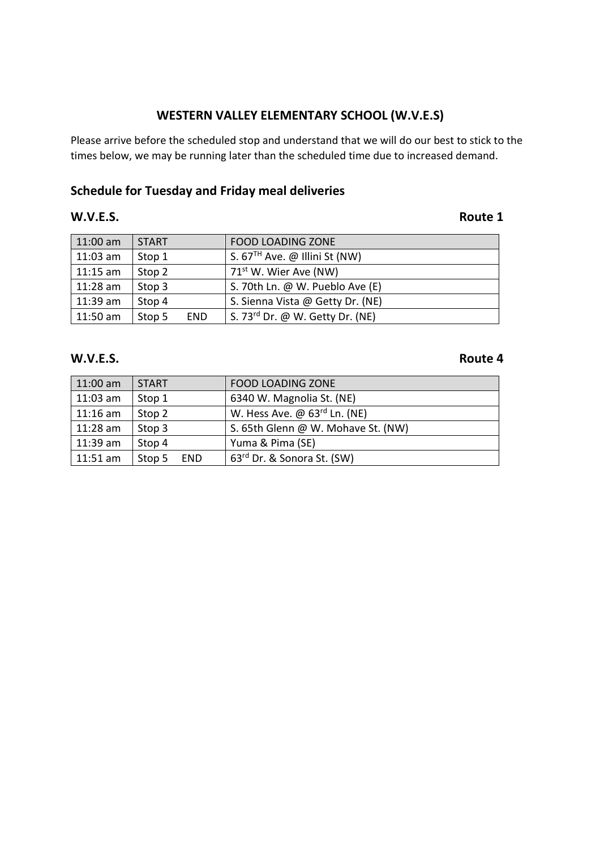## **WESTERN VALLEY ELEMENTARY SCHOOL (W.V.E.S)**

Please arrive before the scheduled stop and understand that we will do our best to stick to the times below, we may be running later than the scheduled time due to increased demand.

# **Schedule for Tuesday and Friday meal deliveries**

### **W.V.E.S. Route 1**

| 11:00 am   | <b>START</b> |            | <b>FOOD LOADING ZONE</b>          |
|------------|--------------|------------|-----------------------------------|
| $11:03$ am | Stop 1       |            | S. $67TH$ Ave. @ Illini St (NW)   |
| $11:15$ am | Stop 2       |            | 71 <sup>st</sup> W. Wier Ave (NW) |
| $11:28$ am | Stop 3       |            | S. 70th Ln. @ W. Pueblo Ave (E)   |
| $11:39$ am | Stop 4       |            | S. Sienna Vista @ Getty Dr. (NE)  |
| $11:50$ am | Stop 5       | <b>END</b> | S. 73rd Dr. @ W. Getty Dr. (NE)   |

### **W.V.E.S. Route 4**

| $11:00$ am | <b>START</b>         | <b>FOOD LOADING ZONE</b>               |
|------------|----------------------|----------------------------------------|
| $11:03$ am | Stop 1               | 6340 W. Magnolia St. (NE)              |
| $11:16$ am | Stop 2               | W. Hess Ave. @ 63rd Ln. (NE)           |
| $11:28$ am | Stop 3               | S. 65th Glenn @ W. Mohave St. (NW)     |
| $11:39$ am | Stop 4               | Yuma & Pima (SE)                       |
| $11:51$ am | <b>END</b><br>Stop 5 | 63 <sup>rd</sup> Dr. & Sonora St. (SW) |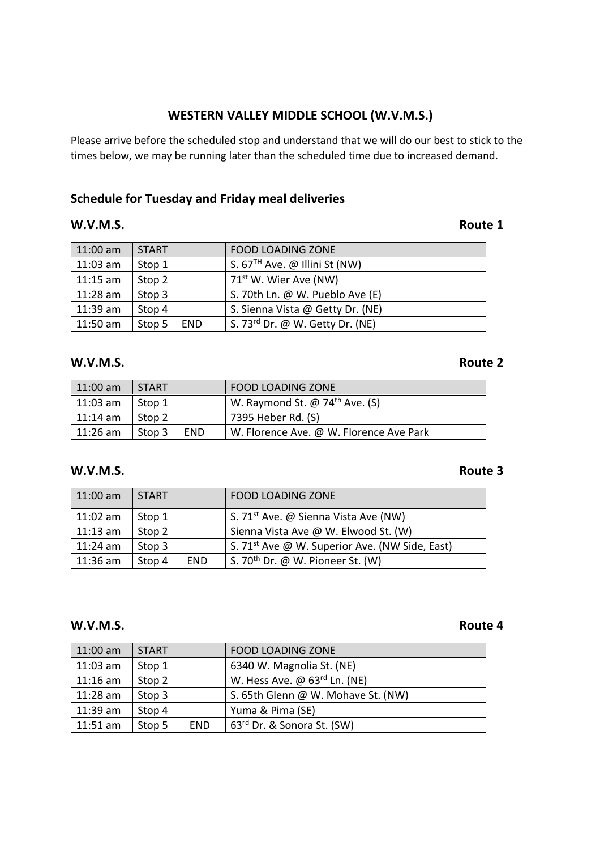## **WESTERN VALLEY MIDDLE SCHOOL (W.V.M.S.)**

Please arrive before the scheduled stop and understand that we will do our best to stick to the times below, we may be running later than the scheduled time due to increased demand.

## **Schedule for Tuesday and Friday meal deliveries**

### **W.V.M.S. Route 1**

| $11:00$ am | <b>START</b>         | <b>FOOD LOADING ZONE</b>          |
|------------|----------------------|-----------------------------------|
| $11:03$ am | Stop 1               | S. $67TH$ Ave. @ Illini St (NW)   |
| $11:15$ am | Stop 2               | 71 <sup>st</sup> W. Wier Ave (NW) |
| $11:28$ am | Stop 3               | S. 70th Ln. @ W. Pueblo Ave (E)   |
| $11:39$ am | Stop 4               | S. Sienna Vista @ Getty Dr. (NE)  |
| $11:50$ am | Stop 5<br><b>END</b> | S. 73rd Dr. @ W. Getty Dr. (NE)   |

### **W.V.M.S. Route 2**

| $11:00$ am       | <b>START</b> |            | FOOD LOADING ZONE                                 |
|------------------|--------------|------------|---------------------------------------------------|
| $\vert$ 11:03 am | l Stop 1     |            | W. Raymond St. $\omega$ 74 <sup>th</sup> Ave. (S) |
| $\vert$ 11:14 am | Stop 2       |            | 7395 Heber Rd. (S)                                |
| $\mid$ 11:26 am  | l Stop 3     | <b>END</b> | W. Florence Ave. @ W. Florence Ave Park           |

### **W.V.M.S. Route 3**

| $11:00$ am | START                | <b>FOOD LOADING ZONE</b>                                   |
|------------|----------------------|------------------------------------------------------------|
| $11:02$ am | Stop 1               | S. 71 <sup>st</sup> Ave. @ Sienna Vista Ave (NW)           |
| $11:13$ am | Stop 2               | Sienna Vista Ave @ W. Elwood St. (W)                       |
| $11:24$ am | Stop 3               | S. 71 <sup>st</sup> Ave @ W. Superior Ave. (NW Side, East) |
| $11:36$ am | Stop 4<br><b>END</b> | S. 70 <sup>th</sup> Dr. @ W. Pioneer St. (W)               |

### **W.V.M.S. Route 4**

| 11:00 am   | <b>START</b> |            | <b>FOOD LOADING ZONE</b>                        |
|------------|--------------|------------|-------------------------------------------------|
| $11:03$ am | Stop 1       |            | 6340 W. Magnolia St. (NE)                       |
| $11:16$ am | Stop 2       |            | W. Hess Ave. $\omega$ 63 <sup>rd</sup> Ln. (NE) |
| $11:28$ am | Stop 3       |            | S. 65th Glenn @ W. Mohave St. (NW)              |
| $11:39$ am | Stop 4       |            | Yuma & Pima (SE)                                |
| $11:51$ am | Stop 5       | <b>END</b> | $63^{\text{rd}}$ Dr. & Sonora St. (SW)          |